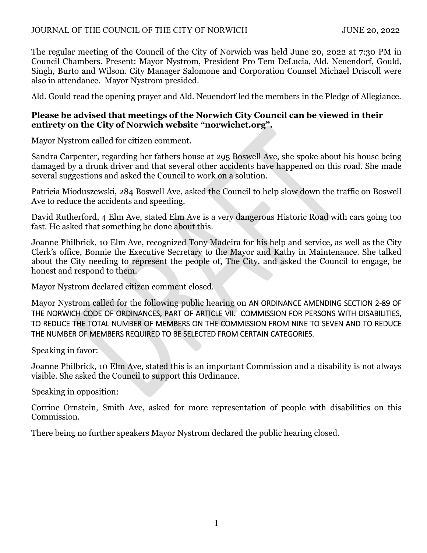The regular meeting of the Council of the City of Norwich was held June 20, 2022 at 7:30 PM in Council Chambers. Present: Mayor Nystrom, President Pro Tem DeLucia, Ald. Neuendorf, Gould, Singh, Burto and Wilson. City Manager Salomone and Corporation Counsel Michael Driscoll were also in attendance. Mayor Nystrom presided.

Ald. Gould read the opening prayer and Ald. Neuendorf led the members in the Pledge of Allegiance.

### **Please be advised that meetings of the Norwich City Council can be viewed in their entirety on the City of Norwich website "norwichct.org".**

Mayor Nystrom called for citizen comment.

Sandra Carpenter, regarding her fathers house at 295 Boswell Ave, she spoke about his house being damaged by a drunk driver and that several other accidents have happened on this road. She made several suggestions and asked the Council to work on a solution.

Patricia Mioduszewski, 284 Boswell Ave, asked the Council to help slow down the traffic on Boswell Ave to reduce the accidents and speeding.

David Rutherford, 4 Elm Ave, stated Elm Ave is a very dangerous Historic Road with cars going too fast. He asked that something be done about this.

Joanne Philbrick, 10 Elm Ave, recognized Tony Madeira for his help and service, as well as the City Clerk's office, Bonnie the Executive Secretary to the Mayor and Kathy in Maintenance. She talked about the City needing to represent the people of, The City, and asked the Council to engage, be honest and respond to them.

Mayor Nystrom declared citizen comment closed.

Mayor Nystrom called for the following public hearing on AN ORDINANCE AMENDING SECTION 2‐89 OF THE NORWICH CODE OF ORDINANCES, PART OF ARTICLE VII. COMMISSION FOR PERSONS WITH DISABILITIES, TO REDUCE THE TOTAL NUMBER OF MEMBERS ON THE COMMISSION FROM NINE TO SEVEN AND TO REDUCE THE NUMBER OF MEMBERS REQUIRED TO BE SELECTED FROM CERTAIN CATEGORIES.

Speaking in favor:

Joanne Philbrick, 10 Elm Ave, stated this is an important Commission and a disability is not always visible. She asked the Council to support this Ordinance.

Speaking in opposition:

Corrine Ornstein, Smith Ave, asked for more representation of people with disabilities on this Commission.

There being no further speakers Mayor Nystrom declared the public hearing closed.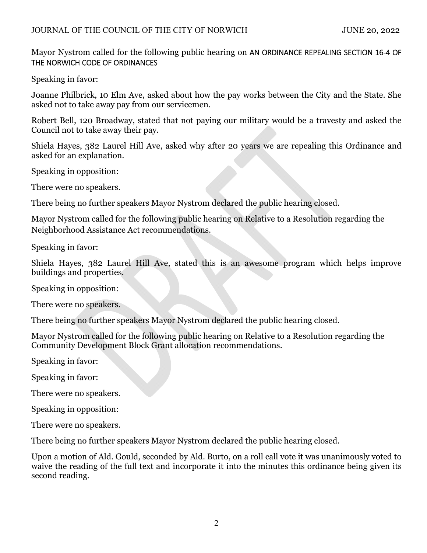Mayor Nystrom called for the following public hearing on AN ORDINANCE REPEALING SECTION 16‐4 OF THE NORWICH CODE OF ORDINANCES

Speaking in favor:

Joanne Philbrick, 10 Elm Ave, asked about how the pay works between the City and the State. She asked not to take away pay from our servicemen.

Robert Bell, 120 Broadway, stated that not paying our military would be a travesty and asked the Council not to take away their pay.

Shiela Hayes, 382 Laurel Hill Ave, asked why after 20 years we are repealing this Ordinance and asked for an explanation.

Speaking in opposition:

There were no speakers.

There being no further speakers Mayor Nystrom declared the public hearing closed.

Mayor Nystrom called for the following public hearing on Relative to a Resolution regarding the Neighborhood Assistance Act recommendations.

Speaking in favor:

Shiela Hayes, 382 Laurel Hill Ave, stated this is an awesome program which helps improve buildings and properties.

Speaking in opposition:

There were no speakers.

There being no further speakers Mayor Nystrom declared the public hearing closed.

Mayor Nystrom called for the following public hearing on Relative to a Resolution regarding the Community Development Block Grant allocation recommendations.

Speaking in favor:

Speaking in favor:

There were no speakers.

Speaking in opposition:

There were no speakers.

There being no further speakers Mayor Nystrom declared the public hearing closed.

Upon a motion of Ald. Gould, seconded by Ald. Burto, on a roll call vote it was unanimously voted to waive the reading of the full text and incorporate it into the minutes this ordinance being given its second reading.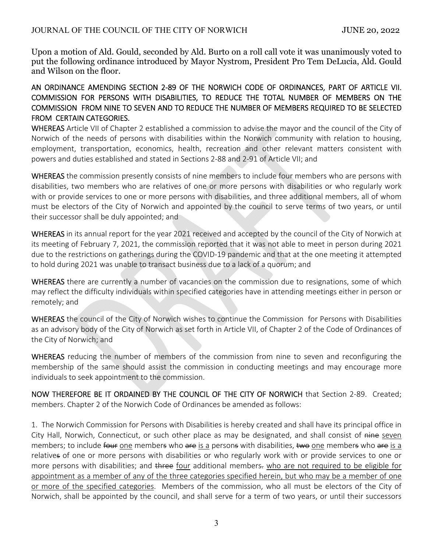Upon a motion of Ald. Gould, seconded by Ald. Burto on a roll call vote it was unanimously voted to put the following ordinance introduced by Mayor Nystrom, President Pro Tem DeLucia, Ald. Gould and Wilson on the floor.

### AN ORDINANCE AMENDING SECTION 2‐89 OF THE NORWICH CODE OF ORDINANCES, PART OF ARTICLE VII. COMMISSION FOR PERSONS WITH DISABILITIES, TO REDUCE THE TOTAL NUMBER OF MEMBERS ON THE COMMISSION FROM NINE TO SEVEN AND TO REDUCE THE NUMBER OF MEMBERS REQUIRED TO BE SELECTED FROM CERTAIN CATEGORIES.

WHEREAS Article VII of Chapter 2 established a commission to advise the mayor and the council of the City of Norwich of the needs of persons with disabilities within the Norwich community with relation to housing, employment, transportation, economics, health, recreation and other relevant matters consistent with powers and duties established and stated in Sections 2‐88 and 2‐91 of Article VII; and

WHEREAS the commission presently consists of nine members to include four members who are persons with disabilities, two members who are relatives of one or more persons with disabilities or who regularly work with or provide services to one or more persons with disabilities, and three additional members, all of whom must be electors of the City of Norwich and appointed by the council to serve terms of two years, or until their successor shall be duly appointed; and

WHEREAS in its annual report for the year 2021 received and accepted by the council of the City of Norwich at its meeting of February 7, 2021, the commission reported that it was not able to meet in person during 2021 due to the restrictions on gatherings during the COVID‐19 pandemic and that at the one meeting it attempted to hold during 2021 was unable to transact business due to a lack of a quorum; and

WHEREAS there are currently a number of vacancies on the commission due to resignations, some of which may reflect the difficulty individuals within specified categories have in attending meetings either in person or remotely; and

WHEREAS the council of the City of Norwich wishes to continue the Commission for Persons with Disabilities as an advisory body of the City of Norwich as set forth in Article VII, of Chapter 2 of the Code of Ordinances of the City of Norwich; and

WHEREAS reducing the number of members of the commission from nine to seven and reconfiguring the membership of the same should assist the commission in conducting meetings and may encourage more individuals to seek appointment to the commission.

NOW THEREFORE BE IT ORDAINED BY THE COUNCIL OF THE CITY OF NORWICH that Section 2‐89. Created; members. Chapter 2 of the Norwich Code of Ordinances be amended as follows:

1. The Norwich Commission for Persons with Disabilities is hereby created and shall have its principal office in City Hall, Norwich, Connecticut, or such other place as may be designated, and shall consist of nine seven members; to include four one members who are is a persons with disabilities, two one members who are is a relatives of one or more persons with disabilities or who regularly work with or provide services to one or more persons with disabilities; and three four additional members, who are not required to be eligible for appointment as a member of any of the three categories specified herein, but who may be a member of one or more of the specified categories. Members of the commission, who all must be electors of the City of Norwich, shall be appointed by the council, and shall serve for a term of two years, or until their successors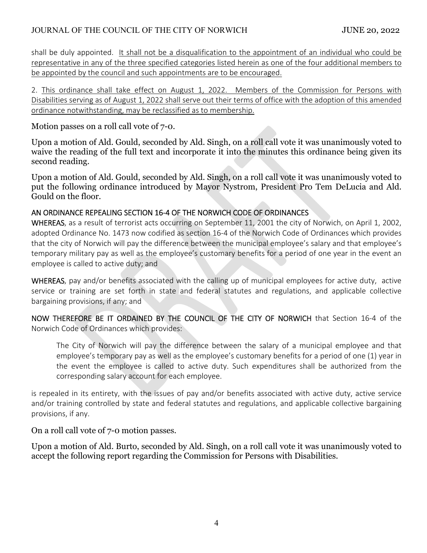## JOURNAL OF THE COUNCIL OF THE CITY OF NORWICH JUNE 20, 2022

shall be duly appointed. It shall not be a disqualification to the appointment of an individual who could be representative in any of the three specified categories listed herein as one of the four additional members to be appointed by the council and such appointments are to be encouraged.

2. This ordinance shall take effect on August 1, 2022. Members of the Commission for Persons with Disabilities serving as of August 1, 2022 shall serve out their terms of office with the adoption of this amended ordinance notwithstanding, may be reclassified as to membership.

Motion passes on a roll call vote of 7-0.

Upon a motion of Ald. Gould, seconded by Ald. Singh, on a roll call vote it was unanimously voted to waive the reading of the full text and incorporate it into the minutes this ordinance being given its second reading.

Upon a motion of Ald. Gould, seconded by Ald. Singh, on a roll call vote it was unanimously voted to put the following ordinance introduced by Mayor Nystrom, President Pro Tem DeLucia and Ald. Gould on the floor.

### AN ORDINANCE REPEALING SECTION 16‐4 OF THE NORWICH CODE OF ORDINANCES

WHEREAS, as a result of terrorist acts occurring on September 11, 2001 the city of Norwich, on April 1, 2002, adopted Ordinance No. 1473 now codified as section 16‐4 of the Norwich Code of Ordinances which provides that the city of Norwich will pay the difference between the municipal employee's salary and that employee's temporary military pay as well as the employee's customary benefits for a period of one year in the event an employee is called to active duty; and

WHEREAS, pay and/or benefits associated with the calling up of municipal employees for active duty, active service or training are set forth in state and federal statutes and regulations, and applicable collective bargaining provisions, if any; and

NOW THEREFORE BE IT ORDAINED BY THE COUNCIL OF THE CITY OF NORWICH that Section 16-4 of the Norwich Code of Ordinances which provides:

The City of Norwich will pay the difference between the salary of a municipal employee and that employee's temporary pay as well as the employee's customary benefits for a period of one (1) year in the event the employee is called to active duty. Such expenditures shall be authorized from the corresponding salary account for each employee.

is repealed in its entirety, with the issues of pay and/or benefits associated with active duty, active service and/or training controlled by state and federal statutes and regulations, and applicable collective bargaining provisions, if any.

On a roll call vote of 7-0 motion passes.

Upon a motion of Ald. Burto, seconded by Ald. Singh, on a roll call vote it was unanimously voted to accept the following report regarding the Commission for Persons with Disabilities.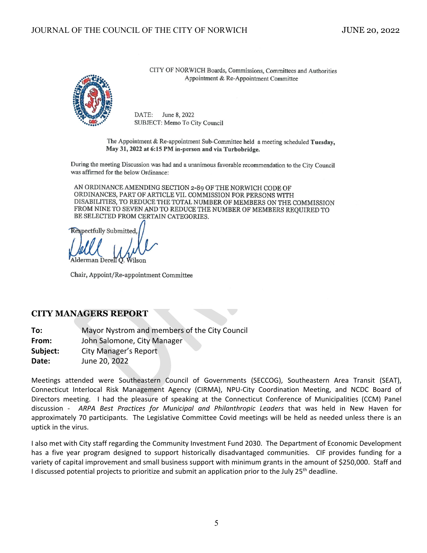

CITY OF NORWICH Boards, Commissions, Committees and Authorities Appointment & Re-Appointment Committee

DATE: June 8, 2022 SUBJECT: Memo To City Council

The Appointment & Re-appointment Sub-Committee held a meeting scheduled Tuesday, May 31, 2022 at 6:15 PM in-person and via Turbobridge.

During the meeting Discussion was had and a unanimous favorable recommendation to the City Council was affirmed for the below Ordinance:

AN ORDINANCE AMENDING SECTION 2-89 OF THE NORWICH CODE OF ORDINANCES, PART OF ARTICLE VII. COMMISSION FOR PERSONS WITH DISABILITIES, TO REDUCE THE TOTAL NUMBER OF MEMBERS ON THE COMMISSION FROM NINE TO SEVEN AND TO REDUCE THE NUMBER OF MEMBERS REOUIRED TO BE SELECTED FROM CERTAIN CATEGORIES.

**Respectfully Submitted** 

Chair, Appoint/Re-appointment Committee

#### **CITY MANAGERS REPORT**

**To:** Mayor Nystrom and members of the City Council **From:**  John Salomone, City Manager **Subject:** City Manager's Report **Date:** June 20, 2022

Meetings attended were Southeastern Council of Governments (SECCOG), Southeastern Area Transit (SEAT), Connecticut Interlocal Risk Management Agency (CIRMA), NPU‐City Coordination Meeting, and NCDC Board of Directors meeting. I had the pleasure of speaking at the Connecticut Conference of Municipalities (CCM) Panel discussion ‐ *ARPA Best Practices for Municipal and Philanthropic Leaders* that was held in New Haven for approximately 70 participants. The Legislative Committee Covid meetings will be held as needed unless there is an uptick in the virus.

I also met with City staff regarding the Community Investment Fund 2030. The Department of Economic Development has a five year program designed to support historically disadvantaged communities. CIF provides funding for a variety of capital improvement and small business support with minimum grants in the amount of \$250,000. Staff and I discussed potential projects to prioritize and submit an application prior to the July 25<sup>th</sup> deadline.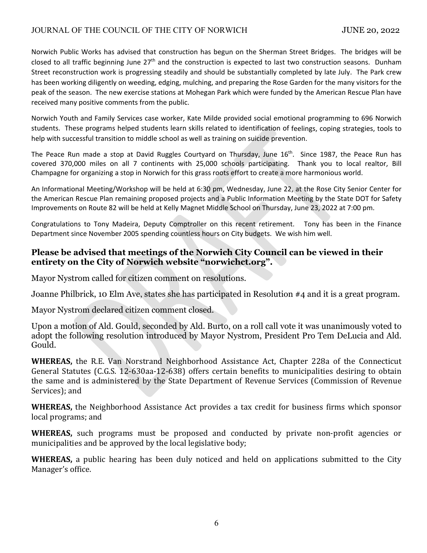Norwich Public Works has advised that construction has begun on the Sherman Street Bridges. The bridges will be closed to all traffic beginning June  $27<sup>th</sup>$  and the construction is expected to last two construction seasons. Dunham Street reconstruction work is progressing steadily and should be substantially completed by late July. The Park crew has been working diligently on weeding, edging, mulching, and preparing the Rose Garden for the many visitors for the peak of the season. The new exercise stations at Mohegan Park which were funded by the American Rescue Plan have received many positive comments from the public.

Norwich Youth and Family Services case worker, Kate Milde provided social emotional programming to 696 Norwich students. These programs helped students learn skills related to identification of feelings, coping strategies, tools to help with successful transition to middle school as well as training on suicide prevention.

The Peace Run made a stop at David Ruggles Courtyard on Thursday, June 16<sup>th</sup>. Since 1987, the Peace Run has covered 370,000 miles on all 7 continents with 25,000 schools participating. Thank you to local realtor, Bill Champagne for organizing a stop in Norwich for this grass roots effort to create a more harmonious world.

An Informational Meeting/Workshop will be held at 6:30 pm, Wednesday, June 22, at the Rose City Senior Center for the American Rescue Plan remaining proposed projects and a Public Information Meeting by the State DOT for Safety Improvements on Route 82 will be held at Kelly Magnet Middle School on Thursday, June 23, 2022 at 7:00 pm.

Congratulations to Tony Madeira, Deputy Comptroller on this recent retirement. Tony has been in the Finance Department since November 2005 spending countless hours on City budgets. We wish him well.

## **Please be advised that meetings of the Norwich City Council can be viewed in their entirety on the City of Norwich website "norwichct.org".**

Mayor Nystrom called for citizen comment on resolutions.

Joanne Philbrick, 10 Elm Ave, states she has participated in Resolution #4 and it is a great program.

Mayor Nystrom declared citizen comment closed.

Upon a motion of Ald. Gould, seconded by Ald. Burto, on a roll call vote it was unanimously voted to adopt the following resolution introduced by Mayor Nystrom, President Pro Tem DeLucia and Ald. Gould.

**WHEREAS,** the R.E. Van Norstrand Neighborhood Assistance Act, Chapter 228a of the Connecticut General Statutes (C.G.S. 12-630aa-12-638) offers certain benefits to municipalities desiring to obtain the same and is administered by the State Department of Revenue Services (Commission of Revenue Services); and

**WHEREAS,** the Neighborhood Assistance Act provides a tax credit for business firms which sponsor local programs; and

**WHEREAS,** such programs must be proposed and conducted by private non-profit agencies or municipalities and be approved by the local legislative body;

**WHEREAS,** a public hearing has been duly noticed and held on applications submitted to the City Manager's office.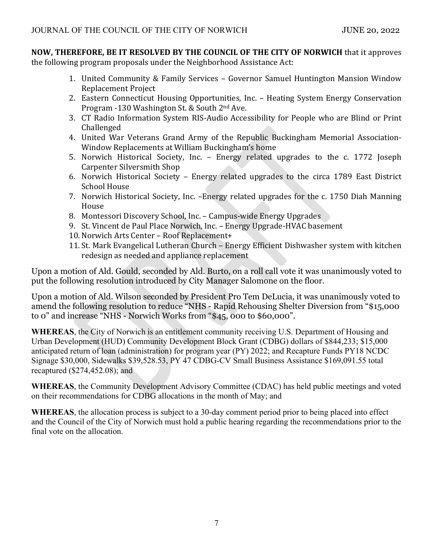**NOW, THEREFORE, BE IT RESOLVED BY THE COUNCIL OF THE CITY OF NORWICH** that it approves the following program proposals under the Neighborhood Assistance Act:

- 1. United Community & Family Services Governor Samuel Huntington Mansion Window Replacement Project
- 2. Eastern Connecticut Housing Opportunities, Inc. Heating System Energy Conservation Program -130 Washington St. & South 2nd Ave.
- 3. CT Radio Information System RIS-Audio Accessibility for People who are Blind or Print Challenged
- 4. United War Veterans Grand Army of the Republic Buckingham Memorial Association-Window Replacements at William Buckingham's home
- 5. Norwich Historical Society, Inc. Energy related upgrades to the c. 1772 Joseph Carpenter Silversmith Shop
- 6. Norwich Historical Society Energy related upgrades to the circa 1789 East District School House
- 7. Norwich Historical Society, Inc. –Energy related upgrades for the c. 1750 Diah Manning House
- 8. Montessori Discovery School, Inc. Campus-wide Energy Upgrades
- 9. St. Vincent de Paul Place Norwich, Inc. Energy Upgrade-HVAC basement
- 10. Norwich Arts Center Roof Replacement+
- 11. St. Mark Evangelical Lutheran Church Energy Efficient Dishwasher system with kitchen redesign as needed and appliance replacement

Upon a motion of Ald. Gould, seconded by Ald. Burto, on a roll call vote it was unanimously voted to put the following resolution introduced by City Manager Salomone on the floor.

Upon a motion of Ald. Wilson seconded by President Pro Tem DeLucia, it was unanimously voted to amend the following resolution to reduce "NHS - Rapid Rehousing Shelter Diversion from "\$15,000 to 0" and increase "NHS - Norwich Works from "\$45, 000 to \$60,000".

**WHEREAS**, the City of Norwich is an entitlement community receiving U.S. Department of Housing and Urban Development (HUD) Community Development Block Grant (CDBG) dollars of \$844,233; \$15,000 anticipated return of loan (administration) for program year (PY) 2022; and Recapture Funds PY18 NCDC Signage \$30,000, Sidewalks \$39,528.53, PY 47 CDBG-CV Small Business Assistance \$169,091.55 total recaptured (\$274,452.08); and

**WHEREAS**, the Community Development Advisory Committee (CDAC) has held public meetings and voted on their recommendations for CDBG allocations in the month of May; and

**WHEREAS**, the allocation process is subject to a 30-day comment period prior to being placed into effect and the Council of the City of Norwich must hold a public hearing regarding the recommendations prior to the final vote on the allocation.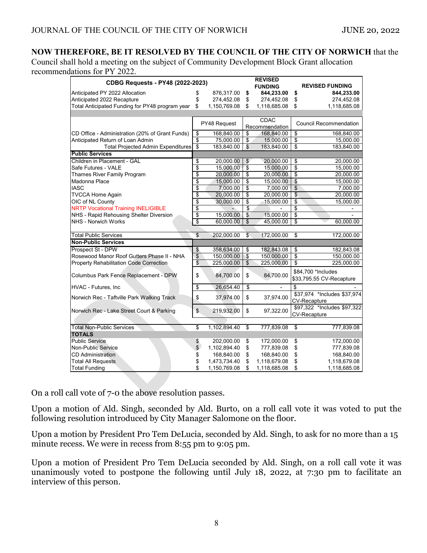# **NOW THEREFORE, BE IT RESOLVED BY THE COUNCIL OF THE CITY OF NORWICH** that the

Council shall hold a meeting on the subject of Community Development Block Grant allocation recommendations for PY 2022.

| <b>CDBG Requests - PY48 (2022-2023)</b>                                       |                          |                            |                                  | <b>REVISED</b>             |                     |                               |
|-------------------------------------------------------------------------------|--------------------------|----------------------------|----------------------------------|----------------------------|---------------------|-------------------------------|
|                                                                               |                          |                            |                                  | <b>FUNDING</b>             |                     | <b>REVISED FUNDING</b>        |
| Anticipated PY 2022 Allocation                                                | \$<br>\$                 | 876,317.00                 | \$                               | 844,233.00                 | \$                  | 844,233.00                    |
| Anticipated 2022 Recapture<br>Total Anticipated Funding for PY48 program year | \$                       | 274,452.08<br>1,150,769.08 | \$<br>\$                         | 274,452.08<br>1,118,685.08 | \$<br>\$            | 274,452.08<br>1,118,685.08    |
|                                                                               |                          |                            |                                  |                            |                     |                               |
|                                                                               |                          |                            |                                  | <b>CDAC</b>                |                     |                               |
|                                                                               |                          | PY48 Request               |                                  | Recommendation             |                     | <b>Council Recommendation</b> |
| CD Office - Administration (20% of Grant Funds)                               | \$                       | 168,840.00                 | \$                               | 168,840.00                 | \$                  | 168,840.00                    |
| Anticipated Return of Loan Admin                                              | $\overline{\mathbb{S}}$  | 75,000.00                  | $\overline{\$}$                  | 15,000.00                  | \$                  | 15,000.00                     |
| <b>Total Projected Admin Expenditures</b>                                     | $\overline{\mathsf{s}}$  | 183,840.00                 | $\overline{\mathcal{S}}$         | 183,840.00                 | \$                  | 183,840.00                    |
| <b>Public Services</b>                                                        |                          |                            |                                  |                            |                     |                               |
| Children in Placement - GAL                                                   | \$                       | 20,000.00                  | \$                               | 20,000.00                  | \$                  | 20,000.00                     |
| Safe Futures - VALE                                                           | \$                       | 15,000.00                  | $\overline{\mathfrak{s}}$        | 15,000.00                  | \$                  | 15,000.00                     |
| Thames River Family Program                                                   | \$                       | 20,000.00                  | $\overline{\boldsymbol{\theta}}$ | 20,000.00                  | \$                  | 20,000.00                     |
| Madonna Place                                                                 | \$                       | 15,000.00                  | $\overline{\$}$                  | 15,000.00                  | \$                  | 15,000.00                     |
| <b>IASC</b>                                                                   | \$                       | 7,000.00                   | \$                               | 7,000.00                   | \$                  | 7,000.00                      |
| <b>TVCCA Home Again</b>                                                       | \$                       | 20,000.00                  | \$                               | 20,000.00                  | \$                  | 20,000.00                     |
| OIC of NL County                                                              | \$                       | 30,000.00                  | $\overline{\$}$                  | 15,000.00                  | \$                  | 15,000.00                     |
| <b>NRTP Vocational Training INELIGIBLE</b>                                    | \$                       |                            | \$                               |                            | \$                  |                               |
| NHS - Rapid Rehousing Shelter Diversion                                       | $\overline{\mathcal{S}}$ | 15,000.00                  | $\sqrt{2}$                       | 15,000.00                  | \$                  |                               |
| <b>NHS - Norwich Works</b>                                                    | $\overline{\mathcal{S}}$ | 60,000.00                  | \$                               | 45,000.00                  | \$                  | 60,000.00                     |
|                                                                               |                          |                            |                                  |                            |                     |                               |
| <b>Total Public Services</b>                                                  | S                        | 202,000.00                 | S                                | 172,000.00                 | \$                  | 172,000.00                    |
| <b>Non-Public Services</b>                                                    |                          |                            |                                  |                            |                     |                               |
| Prospect St - DPW                                                             | \$                       | 358,634.00                 | \$                               | 182,843.08                 | \$                  | 182,843.08                    |
| Rosewood Manor Roof Gutters Phase II - NHA                                    | $\overline{\mathcal{L}}$ | 150,000.00                 | $\overline{\mathcal{E}}$         | 150,000.00                 | \$                  | 150,000.00                    |
| <b>Property Rehabilitation Code Correction</b>                                | \$                       | 225,000.00                 | $\overline{\mathcal{L}}$         | 225,000.00                 | \$                  | 225,000.00                    |
| Columbus Park Fence Replacement - DPW                                         | \$                       | 84,700.00                  | \$                               | 84.700.00                  |                     | \$84,700 *Includes            |
|                                                                               |                          |                            |                                  |                            |                     | \$33,795.55 CV-Recapture      |
| <b>HVAC - Futures, Inc</b>                                                    | \$                       | 26,654.40                  | \$                               |                            | \$                  |                               |
| Norwich Rec - Taftville Park Walking Track                                    | \$                       | 37,974.00                  | \$                               | 37,974.00                  | <b>CV-Recapture</b> | \$37,974 *Includes \$37,974   |
| Norwich Rec - Lake Street Court & Parking                                     | $\mathsf{\$}$            | 219,932.00                 | \$                               | 97,322.00                  | <b>CV-Recapture</b> | \$97,322 *Includes \$97,322   |
|                                                                               |                          |                            |                                  |                            |                     |                               |
| <b>Total Non-Public Services</b>                                              | \$                       | 1,102,894.40               | $\overline{\mathbf{S}}$          | 777,839.08                 | \$                  | 777,839.08                    |
| <b>TOTALS</b>                                                                 |                          |                            |                                  |                            |                     |                               |
| <b>Public Service</b>                                                         | \$                       | 202,000.00                 | \$                               | 172,000.00                 | \$                  | 172,000.00                    |
| Non-Public Service                                                            | \$                       | 1,102,894.40               | \$                               | 777,839.08                 | \$                  | 777,839.08                    |
| <b>CD Administration</b>                                                      | \$                       | 168,840.00                 | \$                               | 168,840.00                 | \$<br>\$            | 168,840.00                    |
| <b>Total All Requests</b>                                                     | \$                       | 1,473,734.40               | \$                               | 1,118,679.08               |                     | 1,118,679.08                  |
| <b>Total Funding</b>                                                          | \$                       | 1,150,769.08               | \$                               | 1,118,685.08               | \$                  | 1,118,685.08                  |

On a roll call vote of 7-0 the above resolution passes.

Upon a motion of Ald. Singh, seconded by Ald. Burto, on a roll call vote it was voted to put the following resolution introduced by City Manager Salomone on the floor.

Upon a motion by President Pro Tem DeLucia, seconded by Ald. Singh, to ask for no more than a 15 minute recess. We were in recess from 8:55 pm to 9:05 pm.

Upon a motion of President Pro Tem DeLucia seconded by Ald. Singh, on a roll call vote it was unanimously voted to postpone the following until July 18, 2022, at 7:30 pm to facilitate an interview of this person.